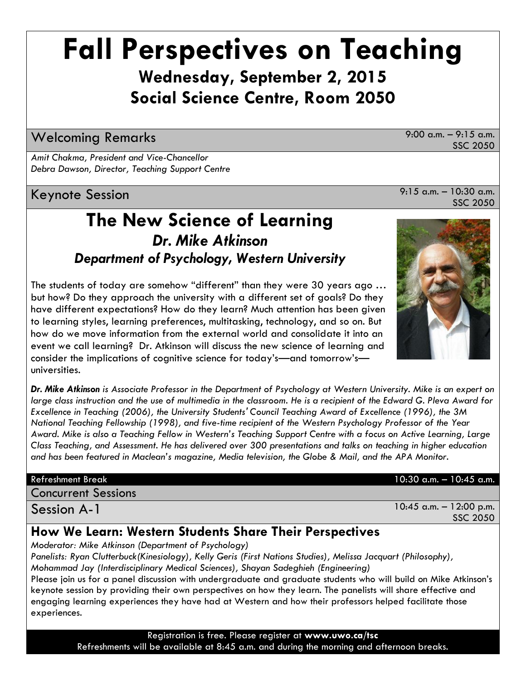# **Fall Perspectives on Teaching Wednesday, September 2, 2015 Social Science Centre, Room 2050**

### Welcoming Remarks 9:00 a.m. – 9:15 a.m.

SSC 2050

SSC 2050

*Amit Chakma, President and Vice-Chancellor Debra Dawson, Director, Teaching Support Centre*

Keynote Session 9:15 a.m. – 10:30 a.m.

# **The New Science of Learning** *Dr. Mike Atkinson Department of Psychology, Western University*

The students of today are somehow "different" than they were 30 years ago … but how? Do they approach the university with a different set of goals? Do they have different expectations? How do they learn? Much attention has been given to learning styles, learning preferences, multitasking, technology, and so on. But how do we move information from the external world and consolidate it into an event we call learning? Dr. Atkinson will discuss the new science of learning and consider the implications of cognitive science for today's—and tomorrow's universities.

*Dr. Mike Atkinson is Associate Professor in the Department of Psychology at Western University. Mike is an expert on large class instruction and the use of multimedia in the classroom. He is a recipient of the Edward G. Pleva Award for Excellence in Teaching (2006), the University Students' Council Teaching Award of Excellence (1996), the 3M National Teaching Fellowship (1998), and five-time recipient of the Western Psychology Professor of the Year Award. Mike is also a Teaching Fellow in Western's Teaching Support Centre with a focus on Active Learning, Large Class Teaching, and Assessment. He has delivered over 300 presentations and talks on teaching in higher education and has been featured in Maclean's magazine, Media television, the Globe & Mail, and the APA Monitor.*

Concurrent Sessions

Session A-1

## **How We Learn: Western Students Share Their Perspectives**

*Moderator: Mike Atkinson (Department of Psychology)*

*Panelists: Ryan Clutterbuck(Kinesiology), Kelly Geris (First Nations Studies), Melissa Jacquart (Philosophy), Mohammad Jay (Interdisciplinary Medical Sciences), Shayan Sadeghieh (Engineering)*

Please join us for a panel discussion with undergraduate and graduate students who will build on Mike Atkinson's keynote session by providing their own perspectives on how they learn. The panelists will share effective and engaging learning experiences they have had at Western and how their professors helped facilitate those experiences.

> Registration is free. Please register at **www.uwo.ca/tsc**  Refreshments will be available at 8:45 a.m. and during the morning and afternoon breaks.



Refreshment Break 10:30 a.m. – 10:45 a.m.

10:45 a.m. – 12:00 p.m. SSC 2050